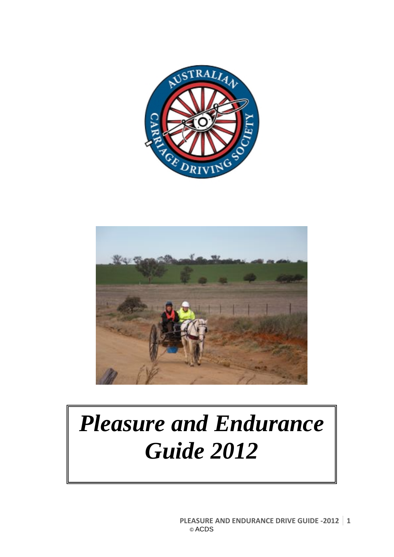



# *Pleasure and Endurance Guide 2012*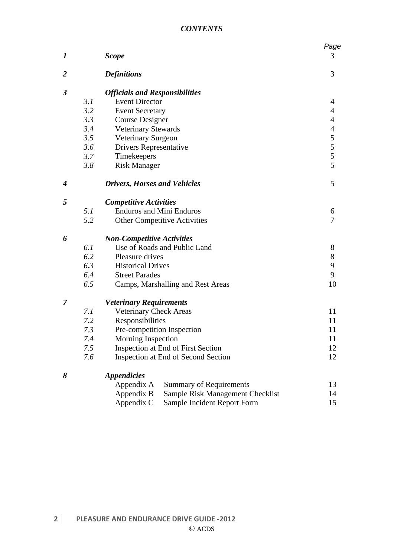| 1                    |     | <b>Scope</b>                          |                                     | Page<br>3                |  |  |
|----------------------|-----|---------------------------------------|-------------------------------------|--------------------------|--|--|
|                      |     |                                       |                                     |                          |  |  |
| $\overline{2}$       |     | <b>Definitions</b>                    |                                     | 3                        |  |  |
| $\boldsymbol{\beta}$ |     | <b>Officials and Responsibilities</b> |                                     |                          |  |  |
|                      | 3.1 | <b>Event Director</b>                 |                                     | 4                        |  |  |
|                      | 3.2 | <b>Event Secretary</b>                |                                     | $\overline{4}$           |  |  |
|                      | 3.3 | <b>Course Designer</b>                |                                     | $\overline{4}$           |  |  |
|                      | 3.4 | <b>Veterinary Stewards</b>            |                                     | $\overline{\mathcal{L}}$ |  |  |
|                      | 3.5 | Veterinary Surgeon                    |                                     | $\frac{5}{5}$            |  |  |
|                      | 3.6 | <b>Drivers Representative</b>         |                                     |                          |  |  |
|                      | 3.7 | Timekeepers                           |                                     |                          |  |  |
|                      | 3.8 | <b>Risk Manager</b>                   |                                     | 5                        |  |  |
| 4                    |     | <b>Drivers, Horses and Vehicles</b>   |                                     | 5                        |  |  |
| 5                    |     | <b>Competitive Activities</b>         |                                     |                          |  |  |
|                      | 5.1 |                                       | <b>Enduros and Mini Enduros</b>     | 6                        |  |  |
|                      | 5.2 |                                       | <b>Other Competitive Activities</b> | 7                        |  |  |
| 6                    |     | <b>Non-Competitive Activities</b>     |                                     |                          |  |  |
|                      | 6.1 |                                       | Use of Roads and Public Land        | 8                        |  |  |
|                      | 6.2 | Pleasure drives                       |                                     | $8\,$                    |  |  |
|                      | 6.3 | <b>Historical Drives</b>              |                                     | 9                        |  |  |
|                      | 6.4 | <b>Street Parades</b>                 | 9                                   |                          |  |  |
|                      | 6.5 | Camps, Marshalling and Rest Areas     | 10                                  |                          |  |  |
| 7                    |     | <b>Veterinary Requirements</b>        |                                     |                          |  |  |
|                      | 7.1 | <b>Veterinary Check Areas</b>         | 11                                  |                          |  |  |
|                      | 7.2 | Responsibilities                      | 11                                  |                          |  |  |
|                      | 7.3 | Pre-competition Inspection            | 11                                  |                          |  |  |
|                      | 7.4 | Morning Inspection                    | 11                                  |                          |  |  |
|                      | 7.5 | Inspection at End of First Section    | 12                                  |                          |  |  |
|                      | 7.6 | Inspection at End of Second Section   | 12                                  |                          |  |  |
| 8                    |     |                                       |                                     |                          |  |  |
|                      |     | Appendix A                            | <b>Summary of Requirements</b>      | 13                       |  |  |
|                      |     | Appendix B                            | Sample Risk Management Checklist    | 14                       |  |  |
|                      |     | Appendix C                            | Sample Incident Report Form         | 15                       |  |  |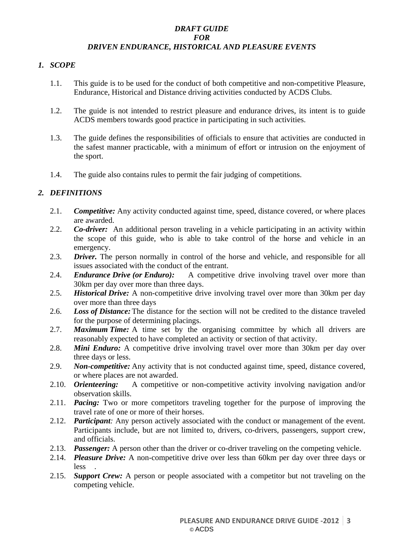# *DRAFT GUIDE FOR DRIVEN ENDURANCE, HISTORICAL AND PLEASURE EVENTS*

# *1. SCOPE*

- 1.1. This guide is to be used for the conduct of both competitive and non-competitive Pleasure, Endurance, Historical and Distance driving activities conducted by ACDS Clubs.
- 1.2. The guide is not intended to restrict pleasure and endurance drives, its intent is to guide ACDS members towards good practice in participating in such activities.
- 1.3. The guide defines the responsibilities of officials to ensure that activities are conducted in the safest manner practicable, with a minimum of effort or intrusion on the enjoyment of the sport.
- 1.4. The guide also contains rules to permit the fair judging of competitions.

# *2. DEFINITIONS*

- 2.1. *Competitive:* Any activity conducted against time, speed, distance covered, or where places are awarded.
- 2.2. *Co-driver:* An additional person traveling in a vehicle participating in an activity within the scope of this guide, who is able to take control of the horse and vehicle in an emergency.
- 2.3. *Driver*. The person normally in control of the horse and vehicle, and responsible for all issues associated with the conduct of the entrant.
- 2.4. *Endurance Drive (or Enduro):* A competitive drive involving travel over more than 30km per day over more than three days.
- 2.5. *Historical Drive:* A non-competitive drive involving travel over more than 30km per day over more than three days
- 2.6. *Loss of Distance:* The distance for the section will not be credited to the distance traveled for the purpose of determining placings.
- 2.7. *Maximum Time:* A time set by the organising committee by which all drivers are reasonably expected to have completed an activity or section of that activity.
- 2.8. *Mini Enduro:* A competitive drive involving travel over more than 30km per day over three days or less.
- 2.9. *Non-competitive:* Any activity that is not conducted against time, speed, distance covered, or where places are not awarded.
- 2.10. *Orienteering:* A competitive or non-competitive activity involving navigation and/or observation skills.
- 2.11. *Pacing:* Two or more competitors traveling together for the purpose of improving the travel rate of one or more of their horses.
- 2.12. *Participant:* Any person actively associated with the conduct or management of the event. Participants include, but are not limited to, drivers, co-drivers, passengers, support crew, and officials.
- 2.13. *Passenger:* A person other than the driver or co-driver traveling on the competing vehicle.
- 2.14. *Pleasure Drive:* A non-competitive drive over less than 60km per day over three days or less .
- 2.15. *Support Crew:* A person or people associated with a competitor but not traveling on the competing vehicle.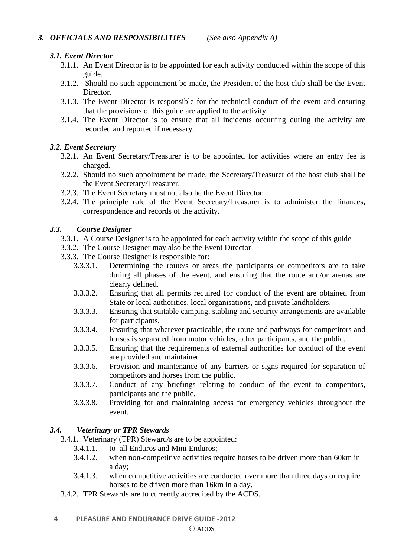# *3.1. Event Director*

- 3.1.1. An Event Director is to be appointed for each activity conducted within the scope of this guide.
- 3.1.2. Should no such appointment be made, the President of the host club shall be the Event Director.
- 3.1.3. The Event Director is responsible for the technical conduct of the event and ensuring that the provisions of this guide are applied to the activity.
- 3.1.4. The Event Director is to ensure that all incidents occurring during the activity are recorded and reported if necessary.

# *3.2. Event Secretary*

- 3.2.1. An Event Secretary/Treasurer is to be appointed for activities where an entry fee is charged.
- 3.2.2. Should no such appointment be made, the Secretary/Treasurer of the host club shall be the Event Secretary/Treasurer.
- 3.2.3. The Event Secretary must not also be the Event Director
- 3.2.4. The principle role of the Event Secretary/Treasurer is to administer the finances, correspondence and records of the activity.

# *3.3. Course Designer*

- 3.3.1. A Course Designer is to be appointed for each activity within the scope of this guide
- 3.3.2. The Course Designer may also be the Event Director
- 3.3.3. The Course Designer is responsible for:
	- 3.3.3.1. Determining the route/s or areas the participants or competitors are to take during all phases of the event, and ensuring that the route and/or arenas are clearly defined.
	- 3.3.3.2. Ensuring that all permits required for conduct of the event are obtained from State or local authorities, local organisations, and private landholders.
	- 3.3.3.3. Ensuring that suitable camping, stabling and security arrangements are available for participants.
	- 3.3.3.4. Ensuring that wherever practicable, the route and pathways for competitors and horses is separated from motor vehicles, other participants, and the public.
	- 3.3.3.5. Ensuring that the requirements of external authorities for conduct of the event are provided and maintained.
	- 3.3.3.6. Provision and maintenance of any barriers or signs required for separation of competitors and horses from the public.
	- 3.3.3.7. Conduct of any briefings relating to conduct of the event to competitors, participants and the public.
	- 3.3.3.8. Providing for and maintaining access for emergency vehicles throughout the event.

# *3.4. Veterinary or TPR Stewards*

- 3.4.1. Veterinary (TPR) Steward/s are to be appointed:
	- 3.4.1.1. to all Enduros and Mini Enduros;
	- 3.4.1.2. when non-competitive activities require horses to be driven more than 60km in a day;
	- 3.4.1.3. when competitive activities are conducted over more than three days or require horses to be driven more than 16km in a day.
- 3.4.2. TPR Stewards are to currently accredited by the ACDS.
- **4 PLEASURE AND ENDURANCE DRIVE GUIDE ‐2012**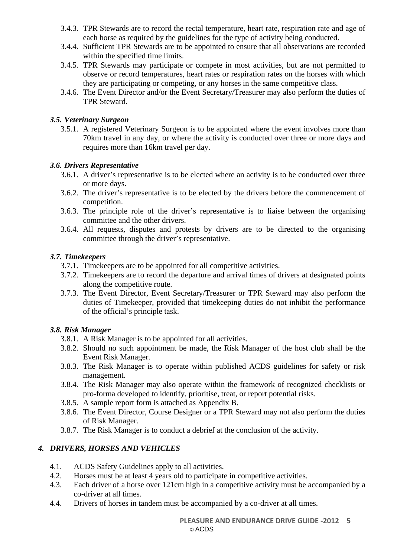- 3.4.3. TPR Stewards are to record the rectal temperature, heart rate, respiration rate and age of each horse as required by the guidelines for the type of activity being conducted.
- 3.4.4. Sufficient TPR Stewards are to be appointed to ensure that all observations are recorded within the specified time limits.
- 3.4.5. TPR Stewards may participate or compete in most activities, but are not permitted to observe or record temperatures, heart rates or respiration rates on the horses with which they are participating or competing, or any horses in the same competitive class.
- 3.4.6. The Event Director and/or the Event Secretary/Treasurer may also perform the duties of TPR Steward.

## *3.5. Veterinary Surgeon*

3.5.1. A registered Veterinary Surgeon is to be appointed where the event involves more than 70km travel in any day, or where the activity is conducted over three or more days and requires more than 16km travel per day.

#### *3.6. Drivers Representative*

- 3.6.1. A driver's representative is to be elected where an activity is to be conducted over three or more days.
- 3.6.2. The driver's representative is to be elected by the drivers before the commencement of competition.
- 3.6.3. The principle role of the driver's representative is to liaise between the organising committee and the other drivers.
- 3.6.4. All requests, disputes and protests by drivers are to be directed to the organising committee through the driver's representative.

#### *3.7. Timekeepers*

- 3.7.1. Timekeepers are to be appointed for all competitive activities.
- 3.7.2. Timekeepers are to record the departure and arrival times of drivers at designated points along the competitive route.
- 3.7.3. The Event Director, Event Secretary/Treasurer or TPR Steward may also perform the duties of Timekeeper, provided that timekeeping duties do not inhibit the performance of the official's principle task.

# *3.8. Risk Manager*

- 3.8.1. A Risk Manager is to be appointed for all activities.
- 3.8.2. Should no such appointment be made, the Risk Manager of the host club shall be the Event Risk Manager.
- 3.8.3. The Risk Manager is to operate within published ACDS guidelines for safety or risk management.
- 3.8.4. The Risk Manager may also operate within the framework of recognized checklists or pro-forma developed to identify, prioritise, treat, or report potential risks.
- 3.8.5. A sample report form is attached as Appendix B.
- 3.8.6. The Event Director, Course Designer or a TPR Steward may not also perform the duties of Risk Manager.
- 3.8.7. The Risk Manager is to conduct a debrief at the conclusion of the activity.

# *4. DRIVERS, HORSES AND VEHICLES*

- 4.1. ACDS Safety Guidelines apply to all activities.
- 4.2. Horses must be at least 4 years old to participate in competitive activities.
- 4.3. Each driver of a horse over 121cm high in a competitive activity must be accompanied by a co-driver at all times.
- 4.4. Drivers of horses in tandem must be accompanied by a co-driver at all times.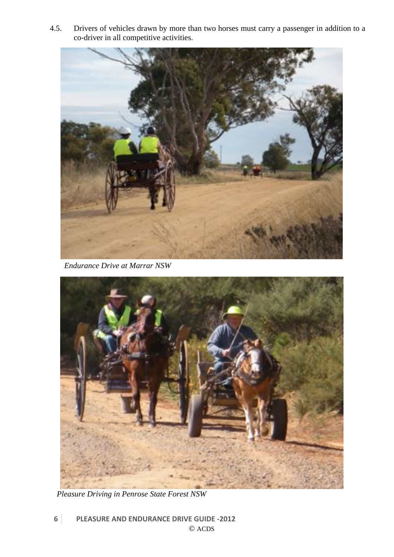4.5. Drivers of vehicles drawn by more than two horses must carry a passenger in addition to a co-driver in all competitive activities.



*Endurance Drive at Marrar NSW* 



*Pleasure Driving in Penrose State Forest NSW*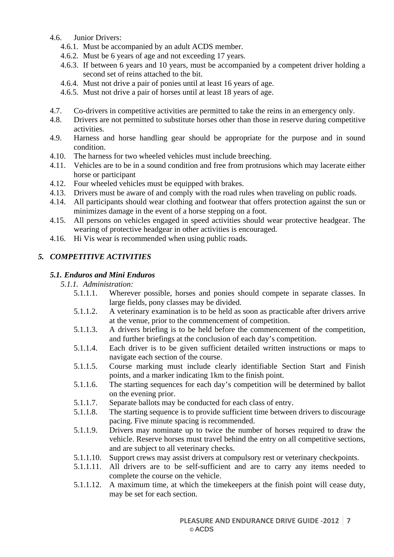- 4.6. Junior Drivers:
	- 4.6.1. Must be accompanied by an adult ACDS member.
	- 4.6.2. Must be 6 years of age and not exceeding 17 years.
	- 4.6.3. If between 6 years and 10 years, must be accompanied by a competent driver holding a second set of reins attached to the bit.
	- 4.6.4. Must not drive a pair of ponies until at least 16 years of age.
	- 4.6.5. Must not drive a pair of horses until at least 18 years of age.
- 4.7. Co-drivers in competitive activities are permitted to take the reins in an emergency only.
- 4.8. Drivers are not permitted to substitute horses other than those in reserve during competitive activities.
- 4.9. Harness and horse handling gear should be appropriate for the purpose and in sound condition.
- 4.10. The harness for two wheeled vehicles must include breeching.
- 4.11. Vehicles are to be in a sound condition and free from protrusions which may lacerate either horse or participant
- 4.12. Four wheeled vehicles must be equipped with brakes.
- 4.13. Drivers must be aware of and comply with the road rules when traveling on public roads.
- 4.14. All participants should wear clothing and footwear that offers protection against the sun or minimizes damage in the event of a horse stepping on a foot.
- 4.15. All persons on vehicles engaged in speed activities should wear protective headgear. The wearing of protective headgear in other activities is encouraged.
- 4.16. Hi Vis wear is recommended when using public roads.

# *5. COMPETITIVE ACTIVITIES*

#### *5.1. Enduros and Mini Enduros*

#### *5.1.1. Administration:*

- 5.1.1.1. Wherever possible, horses and ponies should compete in separate classes. In large fields, pony classes may be divided.
- 5.1.1.2. A veterinary examination is to be held as soon as practicable after drivers arrive at the venue, prior to the commencement of competition.
- 5.1.1.3. A drivers briefing is to be held before the commencement of the competition, and further briefings at the conclusion of each day's competition.
- 5.1.1.4. Each driver is to be given sufficient detailed written instructions or maps to navigate each section of the course.
- 5.1.1.5. Course marking must include clearly identifiable Section Start and Finish points, and a marker indicating 1km to the finish point.
- 5.1.1.6. The starting sequences for each day's competition will be determined by ballot on the evening prior.
- 5.1.1.7. Separate ballots may be conducted for each class of entry.
- 5.1.1.8. The starting sequence is to provide sufficient time between drivers to discourage pacing. Five minute spacing is recommended.
- 5.1.1.9. Drivers may nominate up to twice the number of horses required to draw the vehicle. Reserve horses must travel behind the entry on all competitive sections, and are subject to all veterinary checks.
- 5.1.1.10. Support crews may assist drivers at compulsory rest or veterinary checkpoints.
- 5.1.1.11. All drivers are to be self-sufficient and are to carry any items needed to complete the course on the vehicle.
- 5.1.1.12. A maximum time, at which the timekeepers at the finish point will cease duty, may be set for each section.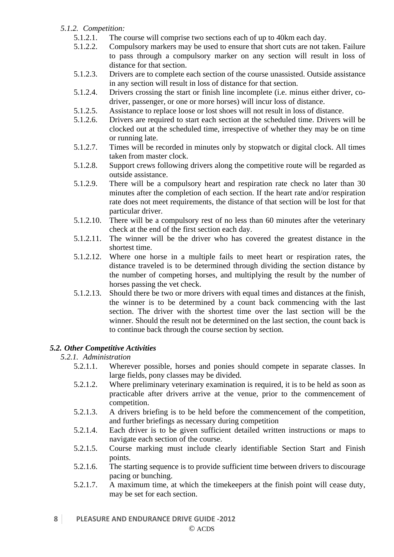# *5.1.2. Competition:*

- 5.1.2.1. The course will comprise two sections each of up to 40km each day.
- 5.1.2.2. Compulsory markers may be used to ensure that short cuts are not taken. Failure to pass through a compulsory marker on any section will result in loss of distance for that section.
- 5.1.2.3. Drivers are to complete each section of the course unassisted. Outside assistance in any section will result in loss of distance for that section.
- 5.1.2.4. Drivers crossing the start or finish line incomplete (i.e. minus either driver, codriver, passenger, or one or more horses) will incur loss of distance.
- 5.1.2.5. Assistance to replace loose or lost shoes will not result in loss of distance.
- 5.1.2.6. Drivers are required to start each section at the scheduled time. Drivers will be clocked out at the scheduled time, irrespective of whether they may be on time or running late.
- 5.1.2.7. Times will be recorded in minutes only by stopwatch or digital clock. All times taken from master clock.
- 5.1.2.8. Support crews following drivers along the competitive route will be regarded as outside assistance.
- 5.1.2.9. There will be a compulsory heart and respiration rate check no later than 30 minutes after the completion of each section. If the heart rate and/or respiration rate does not meet requirements, the distance of that section will be lost for that particular driver.
- 5.1.2.10. There will be a compulsory rest of no less than 60 minutes after the veterinary check at the end of the first section each day.
- 5.1.2.11. The winner will be the driver who has covered the greatest distance in the shortest time.
- 5.1.2.12. Where one horse in a multiple fails to meet heart or respiration rates, the distance traveled is to be determined through dividing the section distance by the number of competing horses, and multiplying the result by the number of horses passing the vet check.
- 5.1.2.13. Should there be two or more drivers with equal times and distances at the finish, the winner is to be determined by a count back commencing with the last section. The driver with the shortest time over the last section will be the winner. Should the result not be determined on the last section, the count back is to continue back through the course section by section.

# *5.2. Other Competitive Activities*

# *5.2.1. Administration*

- 5.2.1.1. Wherever possible, horses and ponies should compete in separate classes. In large fields, pony classes may be divided.
- 5.2.1.2. Where preliminary veterinary examination is required, it is to be held as soon as practicable after drivers arrive at the venue, prior to the commencement of competition.
- 5.2.1.3. A drivers briefing is to be held before the commencement of the competition, and further briefings as necessary during competition
- 5.2.1.4. Each driver is to be given sufficient detailed written instructions or maps to navigate each section of the course.
- 5.2.1.5. Course marking must include clearly identifiable Section Start and Finish points.
- 5.2.1.6. The starting sequence is to provide sufficient time between drivers to discourage pacing or bunching.
- 5.2.1.7. A maximum time, at which the timekeepers at the finish point will cease duty, may be set for each section.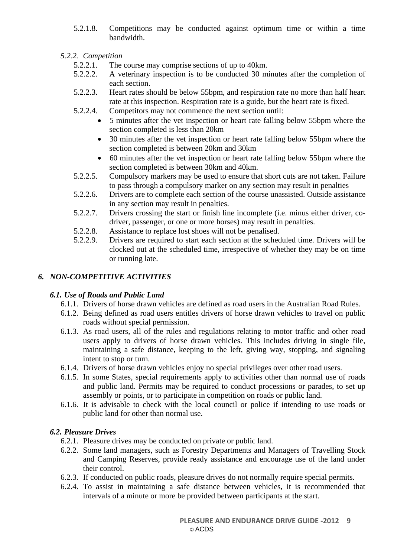5.2.1.8. Competitions may be conducted against optimum time or within a time bandwidth.

# *5.2.2. Competition*

- 5.2.2.1. The course may comprise sections of up to 40km.
- 5.2.2.2. A veterinary inspection is to be conducted 30 minutes after the completion of each section.
- 5.2.2.3. Heart rates should be below 55bpm, and respiration rate no more than half heart rate at this inspection. Respiration rate is a guide, but the heart rate is fixed.
- 5.2.2.4. Competitors may not commence the next section until:
	- 5 minutes after the vet inspection or heart rate falling below 55bpm where the section completed is less than 20km
	- 30 minutes after the vet inspection or heart rate falling below 55bpm where the section completed is between 20km and 30km
	- 60 minutes after the vet inspection or heart rate falling below 55bpm where the section completed is between 30km and 40km.
- 5.2.2.5. Compulsory markers may be used to ensure that short cuts are not taken. Failure to pass through a compulsory marker on any section may result in penalties
- 5.2.2.6. Drivers are to complete each section of the course unassisted. Outside assistance in any section may result in penalties.
- 5.2.2.7. Drivers crossing the start or finish line incomplete (i.e. minus either driver, codriver, passenger, or one or more horses) may result in penalties.
- 5.2.2.8. Assistance to replace lost shoes will not be penalised.
- 5.2.2.9. Drivers are required to start each section at the scheduled time. Drivers will be clocked out at the scheduled time, irrespective of whether they may be on time or running late.

# *6. NON-COMPETITIVE ACTIVITIES*

# *6.1. Use of Roads and Public Land*

- 6.1.1. Drivers of horse drawn vehicles are defined as road users in the Australian Road Rules.
- 6.1.2. Being defined as road users entitles drivers of horse drawn vehicles to travel on public roads without special permission.
- 6.1.3. As road users, all of the rules and regulations relating to motor traffic and other road users apply to drivers of horse drawn vehicles. This includes driving in single file, maintaining a safe distance, keeping to the left, giving way, stopping, and signaling intent to stop or turn.
- 6.1.4. Drivers of horse drawn vehicles enjoy no special privileges over other road users.
- 6.1.5. In some States, special requirements apply to activities other than normal use of roads and public land. Permits may be required to conduct processions or parades, to set up assembly or points, or to participate in competition on roads or public land.
- 6.1.6. It is advisable to check with the local council or police if intending to use roads or public land for other than normal use.

# *6.2. Pleasure Drives*

- 6.2.1. Pleasure drives may be conducted on private or public land.
- 6.2.2. Some land managers, such as Forestry Departments and Managers of Travelling Stock and Camping Reserves, provide ready assistance and encourage use of the land under their control.
- 6.2.3. If conducted on public roads, pleasure drives do not normally require special permits.
- 6.2.4. To assist in maintaining a safe distance between vehicles, it is recommended that intervals of a minute or more be provided between participants at the start.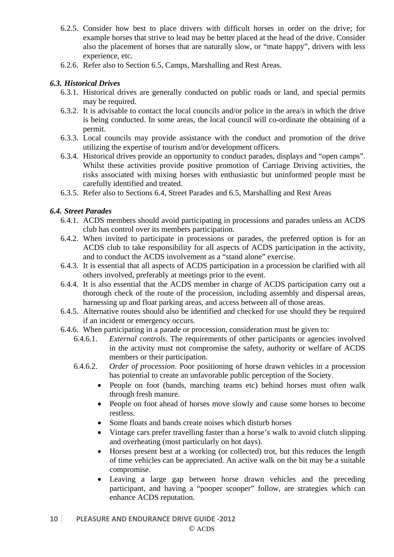- 6.2.5. Consider how best to place drivers with difficult horses in order on the drive; for example horses that strive to lead may be better placed at the head of the drive. Consider also the placement of horses that are naturally slow, or "mate happy", drivers with less experience, etc.
- 6.2.6. Refer also to Section 6.5, Camps, Marshalling and Rest Areas.

# *6.3. Historical Drives*

- 6.3.1. Historical drives are generally conducted on public roads or land, and special permits may be required.
- 6.3.2. It is advisable to contact the local councils and/or police in the area/s in which the drive is being conducted. In some areas, the local council will co-ordinate the obtaining of a permit.
- 6.3.3. Local councils may provide assistance with the conduct and promotion of the drive utilizing the expertise of tourism and/or development officers.
- 6.3.4. Historical drives provide an opportunity to conduct parades, displays and "open camps". Whilst these activities provide positive promotion of Carriage Driving activities, the risks associated with mixing horses with enthusiastic but uninformed people must be carefully identified and treated.
- 6.3.5. Refer also to Sections 6.4, Street Parades and 6.5, Marshalling and Rest Areas

#### *6.4. Street Parades*

- 6.4.1. ACDS members should avoid participating in processions and parades unless an ACDS club has control over its members participation.
- 6.4.2. When invited to participate in processions or parades, the preferred option is for an ACDS club to take responsibility for all aspects of ACDS participation in the activity, and to conduct the ACDS involvement as a "stand alone" exercise.
- 6.4.3. It is essential that all aspects of ACDS participation in a procession be clarified with all others involved, preferably at meetings prior to the event.
- 6.4.4. It is also essential that the ACDS member in charge of ACDS participation carry out a thorough check of the route of the procession, including assembly and dispersal areas, harnessing up and float parking areas, and access between all of those areas.
- 6.4.5. Alternative routes should also be identified and checked for use should they be required if an incident or emergency occurs.
- 6.4.6. When participating in a parade or procession, consideration must be given to:
	- 6.4.6.1. *External controls*. The requirements of other participants or agencies involved in the activity must not compromise the safety, authority or welfare of ACDS members or their participation.
	- 6.4.6.2. *Order of procession*. Poor positioning of horse drawn vehicles in a procession has potential to create an unfavorable public perception of the Society.
		- People on foot (bands, marching teams etc) behind horses must often walk through fresh manure.
		- People on foot ahead of horses move slowly and cause some horses to become restless.
		- Some floats and bands create noises which disturb horses
		- Vintage cars prefer travelling faster than a horse's walk to avoid clutch slipping and overheating (most particularly on hot days).
		- Horses present best at a working (or collected) trot, but this reduces the length of time vehicles can be appreciated. An active walk on the bit may be a suitable compromise.
		- Leaving a large gap between horse drawn vehicles and the preceding participant, and having a "pooper scooper" follow, are strategies which can enhance ACDS reputation.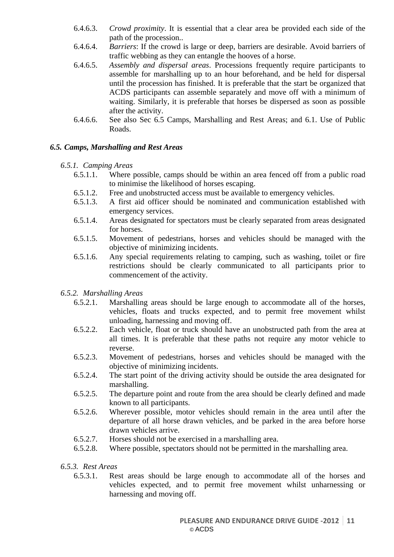- 6.4.6.3. *Crowd proximity*. It is essential that a clear area be provided each side of the path of the procession..
- 6.4.6.4. *Barriers*: If the crowd is large or deep, barriers are desirable. Avoid barriers of traffic webbing as they can entangle the hooves of a horse.
- 6.4.6.5. *Assembly and dispersal areas*. Processions frequently require participants to assemble for marshalling up to an hour beforehand, and be held for dispersal until the procession has finished. It is preferable that the start be organized that ACDS participants can assemble separately and move off with a minimum of waiting. Similarly, it is preferable that horses be dispersed as soon as possible after the activity.
- 6.4.6.6. See also Sec 6.5 Camps, Marshalling and Rest Areas; and 6.1. Use of Public Roads.

# *6.5. Camps, Marshalling and Rest Areas*

# *6.5.1. Camping Areas*

- 6.5.1.1. Where possible, camps should be within an area fenced off from a public road to minimise the likelihood of horses escaping.
- 6.5.1.2. Free and unobstructed access must be available to emergency vehicles.
- 6.5.1.3. A first aid officer should be nominated and communication established with emergency services.
- 6.5.1.4. Areas designated for spectators must be clearly separated from areas designated for horses.
- 6.5.1.5. Movement of pedestrians, horses and vehicles should be managed with the objective of minimizing incidents.
- 6.5.1.6. Any special requirements relating to camping, such as washing, toilet or fire restrictions should be clearly communicated to all participants prior to commencement of the activity.

# *6.5.2. Marshalling Areas*

- 6.5.2.1. Marshalling areas should be large enough to accommodate all of the horses, vehicles, floats and trucks expected, and to permit free movement whilst unloading, harnessing and moving off.
- 6.5.2.2. Each vehicle, float or truck should have an unobstructed path from the area at all times. It is preferable that these paths not require any motor vehicle to reverse.
- 6.5.2.3. Movement of pedestrians, horses and vehicles should be managed with the objective of minimizing incidents.
- 6.5.2.4. The start point of the driving activity should be outside the area designated for marshalling.
- 6.5.2.5. The departure point and route from the area should be clearly defined and made known to all participants.
- 6.5.2.6. Wherever possible, motor vehicles should remain in the area until after the departure of all horse drawn vehicles, and be parked in the area before horse drawn vehicles arrive.
- 6.5.2.7. Horses should not be exercised in a marshalling area.
- 6.5.2.8. Where possible, spectators should not be permitted in the marshalling area.

# *6.5.3. Rest Areas*

6.5.3.1. Rest areas should be large enough to accommodate all of the horses and vehicles expected, and to permit free movement whilst unharnessing or harnessing and moving off.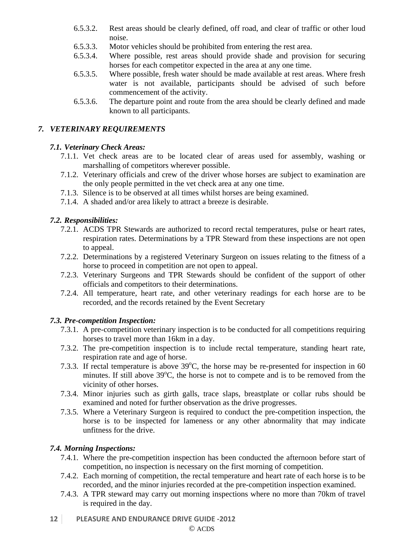- 6.5.3.2. Rest areas should be clearly defined, off road, and clear of traffic or other loud noise.
- 6.5.3.3. Motor vehicles should be prohibited from entering the rest area.
- 6.5.3.4. Where possible, rest areas should provide shade and provision for securing horses for each competitor expected in the area at any one time.
- 6.5.3.5. Where possible, fresh water should be made available at rest areas. Where fresh water is not available, participants should be advised of such before commencement of the activity.
- 6.5.3.6. The departure point and route from the area should be clearly defined and made known to all participants.

# *7. VETERINARY REQUIREMENTS*

# *7.1. Veterinary Check Areas:*

- 7.1.1. Vet check areas are to be located clear of areas used for assembly, washing or marshalling of competitors wherever possible.
- 7.1.2. Veterinary officials and crew of the driver whose horses are subject to examination are the only people permitted in the vet check area at any one time.
- 7.1.3. Silence is to be observed at all times whilst horses are being examined.
- 7.1.4. A shaded and/or area likely to attract a breeze is desirable.

# *7.2. Responsibilities:*

- 7.2.1. ACDS TPR Stewards are authorized to record rectal temperatures, pulse or heart rates, respiration rates. Determinations by a TPR Steward from these inspections are not open to appeal.
- 7.2.2. Determinations by a registered Veterinary Surgeon on issues relating to the fitness of a horse to proceed in competition are not open to appeal.
- 7.2.3. Veterinary Surgeons and TPR Stewards should be confident of the support of other officials and competitors to their determinations.
- 7.2.4. All temperature, heart rate, and other veterinary readings for each horse are to be recorded, and the records retained by the Event Secretary

# *7.3. Pre-competition Inspection:*

- 7.3.1. A pre-competition veterinary inspection is to be conducted for all competitions requiring horses to travel more than 16km in a day.
- 7.3.2. The pre-competition inspection is to include rectal temperature, standing heart rate, respiration rate and age of horse.
- 7.3.3. If rectal temperature is above  $39^{\circ}$ C, the horse may be re-presented for inspection in 60 minutes. If still above  $39^{\circ}$ C, the horse is not to compete and is to be removed from the vicinity of other horses.
- 7.3.4. Minor injuries such as girth galls, trace slaps, breastplate or collar rubs should be examined and noted for further observation as the drive progresses.
- 7.3.5. Where a Veterinary Surgeon is required to conduct the pre-competition inspection, the horse is to be inspected for lameness or any other abnormality that may indicate unfitness for the drive.

# *7.4. Morning Inspections:*

- 7.4.1. Where the pre-competition inspection has been conducted the afternoon before start of competition, no inspection is necessary on the first morning of competition.
- 7.4.2. Each morning of competition, the rectal temperature and heart rate of each horse is to be recorded, and the minor injuries recorded at the pre-competition inspection examined.
- 7.4.3. A TPR steward may carry out morning inspections where no more than 70km of travel is required in the day.
- **12 PLEASURE AND ENDURANCE DRIVE GUIDE ‐2012**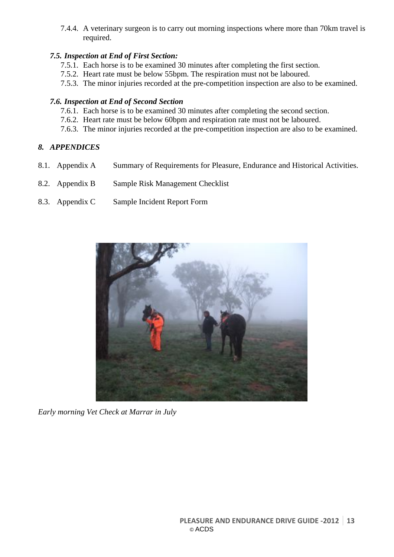7.4.4. A veterinary surgeon is to carry out morning inspections where more than 70km travel is required.

# *7.5. Inspection at End of First Section:*

- 7.5.1. Each horse is to be examined 30 minutes after completing the first section.
- 7.5.2. Heart rate must be below 55bpm. The respiration must not be laboured.
- 7.5.3. The minor injuries recorded at the pre-competition inspection are also to be examined.

# *7.6. Inspection at End of Second Section*

- 7.6.1. Each horse is to be examined 30 minutes after completing the second section.
- 7.6.2. Heart rate must be below 60bpm and respiration rate must not be laboured.
- 7.6.3. The minor injuries recorded at the pre-competition inspection are also to be examined.

# *8. APPENDICES*

- 8.1. Appendix A Summary of Requirements for Pleasure, Endurance and Historical Activities.
- 8.2. Appendix B Sample Risk Management Checklist
- 8.3. Appendix C Sample Incident Report Form



*Early morning Vet Check at Marrar in July*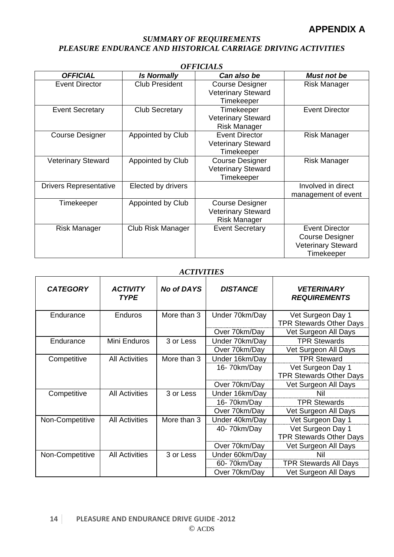# *SUMMARY OF REQUIREMENTS PLEASURE ENDURANCE AND HISTORICAL CARRIAGE DRIVING ACTIVITIES*

| UFFICIALƏ                     |                       |                                                                            |                                                                                            |  |  |  |  |
|-------------------------------|-----------------------|----------------------------------------------------------------------------|--------------------------------------------------------------------------------------------|--|--|--|--|
| <b>OFFICIAL</b>               | <b>Is Normally</b>    | Can also be                                                                | <b>Must not be</b>                                                                         |  |  |  |  |
| <b>Event Director</b>         | <b>Club President</b> | <b>Course Designer</b><br><b>Veterinary Steward</b><br>Timekeeper          | <b>Risk Manager</b>                                                                        |  |  |  |  |
| <b>Event Secretary</b>        | <b>Club Secretary</b> | Timekeeper<br><b>Veterinary Steward</b><br><b>Risk Manager</b>             | <b>Event Director</b>                                                                      |  |  |  |  |
| <b>Course Designer</b>        | Appointed by Club     | <b>Event Director</b><br><b>Veterinary Steward</b><br>Timekeeper           | <b>Risk Manager</b>                                                                        |  |  |  |  |
| <b>Veterinary Steward</b>     | Appointed by Club     | <b>Course Designer</b><br><b>Veterinary Steward</b><br>Timekeeper          | <b>Risk Manager</b>                                                                        |  |  |  |  |
| <b>Drivers Representative</b> | Elected by drivers    |                                                                            | Involved in direct<br>management of event                                                  |  |  |  |  |
| Timekeeper                    | Appointed by Club     | <b>Course Designer</b><br><b>Veterinary Steward</b><br><b>Risk Manager</b> |                                                                                            |  |  |  |  |
| Risk Manager                  | Club Risk Manager     | <b>Event Secretary</b>                                                     | <b>Event Director</b><br><b>Course Designer</b><br><b>Veterinary Steward</b><br>Timekeeper |  |  |  |  |

#### *OFFICIALS*

## *ACTIVITIES*

| <b>CATEGORY</b>                      | <b>ACTIVITY</b><br><b>TYPE</b> | <b>No of DAYS</b> | <b>DISTANCE</b> | <b>VETERINARY</b><br><b>REQUIREMENTS</b> |
|--------------------------------------|--------------------------------|-------------------|-----------------|------------------------------------------|
| Endurance                            | Enduros                        | More than 3       | Under 70km/Day  | Vet Surgeon Day 1                        |
|                                      |                                |                   |                 | <b>TPR Stewards Other Days</b>           |
|                                      |                                |                   | Over 70km/Day   | Vet Surgeon All Days                     |
| Endurance                            | Mini Enduros                   | 3 or Less         | Under 70km/Day  | <b>TPR Stewards</b>                      |
|                                      |                                |                   | Over 70km/Day   | Vet Surgeon All Days                     |
| Competitive                          | <b>All Activities</b>          | More than 3       | Under 16km/Day  | <b>TPR Steward</b>                       |
|                                      |                                |                   | 16-70km/Day     | Vet Surgeon Day 1                        |
|                                      |                                |                   |                 | <b>TPR Stewards Other Days</b>           |
|                                      |                                |                   | Over 70km/Day   | Vet Surgeon All Days                     |
| Competitive<br><b>All Activities</b> |                                | 3 or Less         | Under 16km/Day  | Nil                                      |
|                                      |                                |                   | 16-70km/Day     | <b>TPR Stewards</b>                      |
|                                      |                                |                   | Over 70km/Day   | Vet Surgeon All Days                     |
| Non-Competitive                      | <b>All Activities</b>          | More than 3       | Under 40km/Day  | Vet Surgeon Day 1                        |
|                                      |                                |                   | 40-70km/Day     | Vet Surgeon Day 1                        |
|                                      |                                |                   |                 | <b>TPR Stewards Other Days</b>           |
|                                      |                                |                   | Over 70km/Day   | Vet Surgeon All Days                     |
| Non-Competitive                      | <b>All Activities</b>          | 3 or Less         | Under 60km/Day  | Nil                                      |
|                                      |                                |                   | 60-70km/Day     | <b>TPR Stewards All Days</b>             |
|                                      |                                |                   | Over 70km/Day   | Vet Surgeon All Days                     |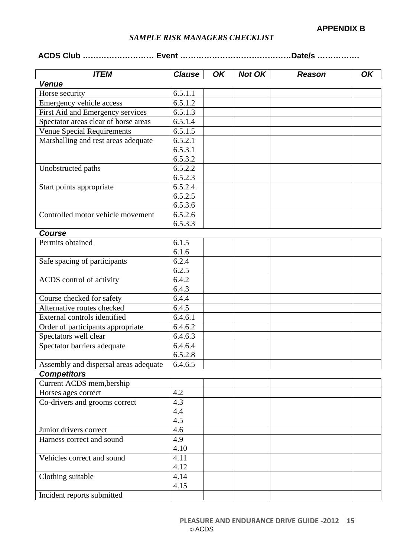# *SAMPLE RISK MANAGERS CHECKLIST*

# **ACDS Club ……………………… Event ……………………………………Date/s …………….**

| <b>ITEM</b>                           | <b>Clause</b> | OK | <b>Not OK</b> | <b>Reason</b> | OK |
|---------------------------------------|---------------|----|---------------|---------------|----|
| <b>Venue</b>                          |               |    |               |               |    |
| Horse security                        | 6.5.1.1       |    |               |               |    |
| Emergency vehicle access              | 6.5.1.2       |    |               |               |    |
| First Aid and Emergency services      | 6.5.1.3       |    |               |               |    |
| Spectator areas clear of horse areas  | 6.5.1.4       |    |               |               |    |
| <b>Venue Special Requirements</b>     | 6.5.1.5       |    |               |               |    |
| Marshalling and rest areas adequate   | 6.5.2.1       |    |               |               |    |
|                                       | 6.5.3.1       |    |               |               |    |
|                                       | 6.5.3.2       |    |               |               |    |
| Unobstructed paths                    | 6.5.2.2       |    |               |               |    |
|                                       | 6.5.2.3       |    |               |               |    |
| Start points appropriate              | 6.5.2.4.      |    |               |               |    |
|                                       | 6.5.2.5       |    |               |               |    |
|                                       | 6.5.3.6       |    |               |               |    |
| Controlled motor vehicle movement     | 6.5.2.6       |    |               |               |    |
|                                       | 6.5.3.3       |    |               |               |    |
| <b>Course</b>                         |               |    |               |               |    |
| Permits obtained                      | 6.1.5         |    |               |               |    |
|                                       | 6.1.6         |    |               |               |    |
| Safe spacing of participants          | 6.2.4         |    |               |               |    |
|                                       | 6.2.5         |    |               |               |    |
| ACDS control of activity              | 6.4.2         |    |               |               |    |
|                                       | 6.4.3         |    |               |               |    |
| Course checked for safety             | 6.4.4         |    |               |               |    |
| Alternative routes checked            | 6.4.5         |    |               |               |    |
| External controls identified          | 6.4.6.1       |    |               |               |    |
| Order of participants appropriate     | 6.4.6.2       |    |               |               |    |
| Spectators well clear                 | 6.4.6.3       |    |               |               |    |
| Spectator barriers adequate           | 6.4.6.4       |    |               |               |    |
|                                       | 6.5.2.8       |    |               |               |    |
| Assembly and dispersal areas adequate | 6.4.6.5       |    |               |               |    |
| <b>Competitors</b>                    |               |    |               |               |    |
| Current ACDS mem, bership             |               |    |               |               |    |
| Horses ages correct                   | 4.2           |    |               |               |    |
| Co-drivers and grooms correct         | 4.3           |    |               |               |    |
|                                       | 4.4           |    |               |               |    |
|                                       | 4.5           |    |               |               |    |
| Junior drivers correct                | 4.6           |    |               |               |    |
| Harness correct and sound             | 4.9           |    |               |               |    |
|                                       | 4.10          |    |               |               |    |
| Vehicles correct and sound            | 4.11          |    |               |               |    |
|                                       | 4.12          |    |               |               |    |
| Clothing suitable                     | 4.14          |    |               |               |    |
|                                       | 4.15          |    |               |               |    |
| Incident reports submitted            |               |    |               |               |    |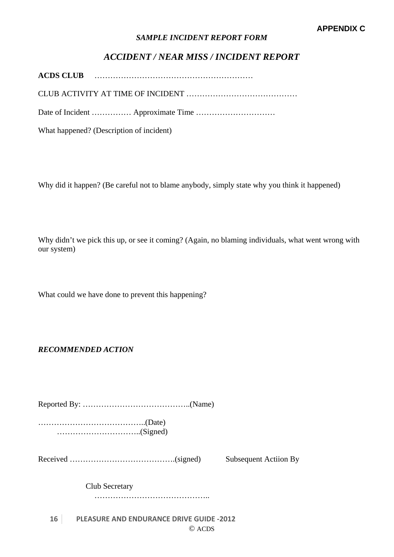#### *SAMPLE INCIDENT REPORT FORM*

# *ACCIDENT / NEAR MISS / INCIDENT REPORT*

**ACDS CLUB** ……………………………………………………

CLUB ACTIVITY AT TIME OF INCIDENT ……………………………………

Date of Incident …………… Approximate Time …………………………

What happened? (Description of incident)

Why did it happen? (Be careful not to blame anybody, simply state why you think it happened)

Why didn't we pick this up, or see it coming? (Again, no blaming individuals, what went wrong with our system)

What could we have done to prevent this happening?

*RECOMMENDED ACTION* 

Reported By: …………………………………..(Name)

…………………………………..(Date) …………………………..(Signed)

Received ………………………………….(signed) Subsequent Actiion By

Club Secretary

……………………………………………

**16 PLEASURE AND ENDURANCE DRIVE GUIDE ‐2012** © ACDS